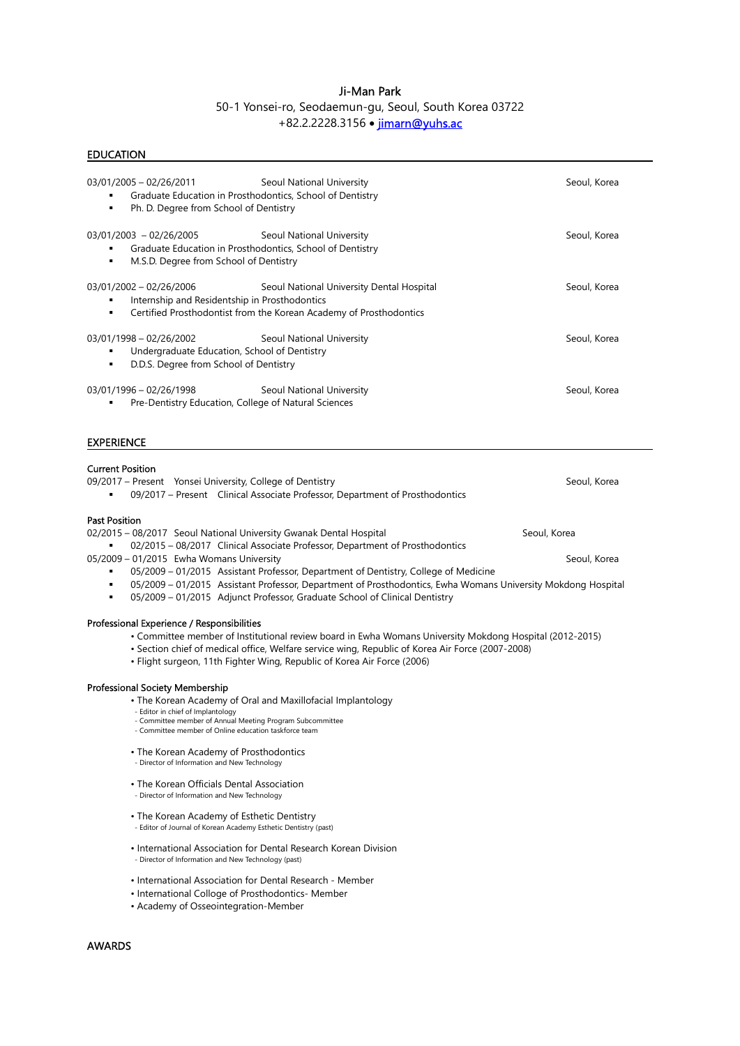# Ji-Man Park

# 50-1 Yonsei-ro, Seodaemun-gu, Seoul, South Korea 03722 +82.2.2228.3156 · jimarn@yuhs.ac

| <b>EDUCATION</b>                                                                                                                                                                                                                                                                                                                             |              |
|----------------------------------------------------------------------------------------------------------------------------------------------------------------------------------------------------------------------------------------------------------------------------------------------------------------------------------------------|--------------|
| 03/01/2005 - 02/26/2011<br>Seoul National University<br>Graduate Education in Prosthodontics, School of Dentistry<br>Ph. D. Degree from School of Dentistry<br>٠                                                                                                                                                                             | Seoul, Korea |
| $03/01/2003 - 02/26/2005$<br>Seoul National University<br>Graduate Education in Prosthodontics, School of Dentistry<br>M.S.D. Degree from School of Dentistry<br>٠                                                                                                                                                                           | Seoul, Korea |
| 03/01/2002 - 02/26/2006<br>Seoul National University Dental Hospital<br>Internship and Residentship in Prosthodontics<br>Certified Prosthodontist from the Korean Academy of Prosthodontics<br>٠                                                                                                                                             | Seoul, Korea |
| 03/01/1998 - 02/26/2002<br>Seoul National University<br>Undergraduate Education, School of Dentistry<br>٠<br>D.D.S. Degree from School of Dentistry                                                                                                                                                                                          | Seoul, Korea |
| $03/01/1996 - 02/26/1998$<br>Seoul National University<br>Pre-Dentistry Education, College of Natural Sciences                                                                                                                                                                                                                               | Seoul, Korea |
| <b>EXPERIENCE</b>                                                                                                                                                                                                                                                                                                                            |              |
| <b>Current Position</b><br>09/2017 – Present Yonsei University, College of Dentistry<br>09/2017 - Present Clinical Associate Professor, Department of Prosthodontics<br><b>Past Position</b>                                                                                                                                                 | Seoul, Korea |
| 02/2015 - 08/2017 Seoul National University Gwanak Dental Hospital<br>02/2015 - 08/2017 Clinical Associate Professor, Department of Prosthodontics                                                                                                                                                                                           | Seoul, Korea |
| 05/2009 - 01/2015 Ewha Womans University<br>05/2009 - 01/2015 Assistant Professor, Department of Dentistry, College of Medicine<br>٠<br>05/2009 - 01/2015 Assistant Professor, Department of Prosthodontics, Ewha Womans University Mokdong Hospital<br>٠<br>05/2009 - 01/2015 Adjunct Professor, Graduate School of Clinical Dentistry<br>٠ | Seoul, Korea |
| Professional Experience / Responsibilities<br>• Committee member of Institutional review board in Ewha Womans University Mokdong Hospital (2012-2015)<br>· Section chief of medical office, Welfare service wing, Republic of Korea Air Force (2007-2008)<br>• Flight surgeon, 11th Fighter Wing, Republic of Korea Air Force (2006)         |              |
| <b>Professional Society Membership</b><br>• The Korean Academy of Oral and Maxillofacial Implantology<br>- Editor in chief of Implantology<br>- Committee member of Annual Meeting Program Subcommittee<br>- Committee member of Online education taskforce team                                                                             |              |
| • The Korean Academy of Prosthodontics<br>- Director of Information and New Technology                                                                                                                                                                                                                                                       |              |
| • The Korean Officials Dental Association<br>- Director of Information and New Technology                                                                                                                                                                                                                                                    |              |
| • The Korean Academy of Esthetic Dentistry<br>- Editor of Journal of Korean Academy Esthetic Dentistry (past)                                                                                                                                                                                                                                |              |
| • International Association for Dental Research Korean Division<br>- Director of Information and New Technology (past)                                                                                                                                                                                                                       |              |
| • International Association for Dental Research - Member<br>• International Colloge of Prosthodontics- Member<br>• Academy of Osseointegration-Member                                                                                                                                                                                        |              |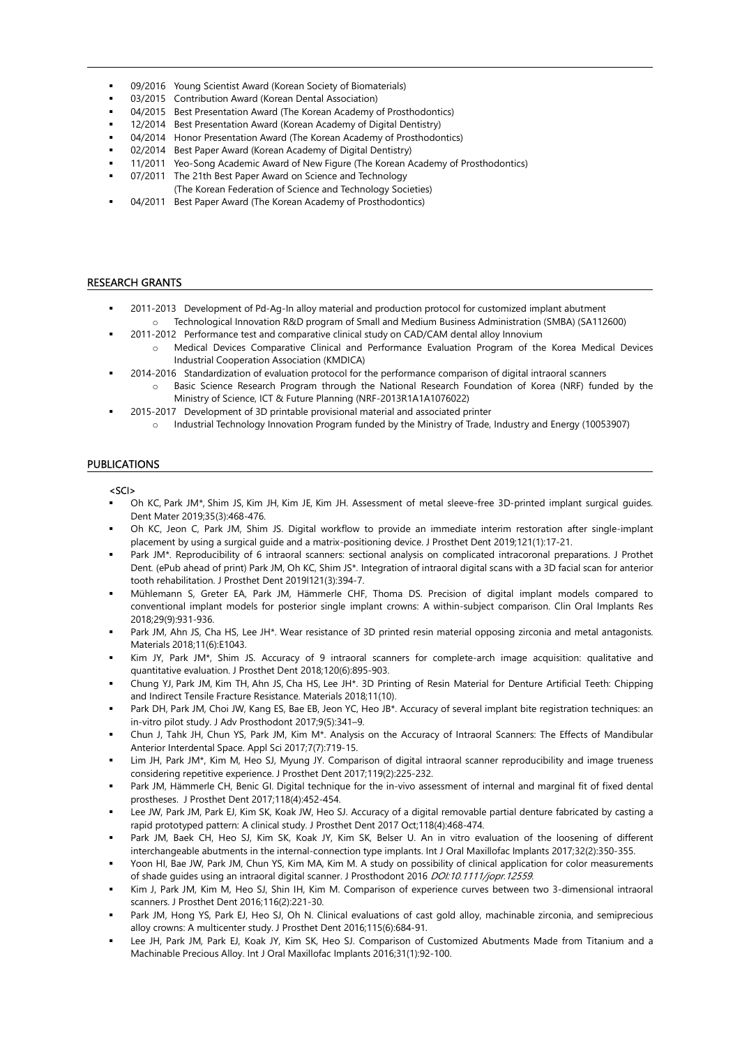- **•** 09/2016 Young Scientist Award (Korean Society of Biomaterials)
- 03/2015 Contribution Award (Korean Dental Association)
- 04/2015 Best Presentation Award (The Korean Academy of Prosthodontics)
- 12/2014 Best Presentation Award (Korean Academy of Digital Dentistry)
- 04/2014 Honor Presentation Award (The Korean Academy of Prosthodontics)
- 02/2014 Best Paper Award (Korean Academy of Digital Dentistry)
- 11/2011 Yeo-Song Academic Award of New Figure (The Korean Academy of Prosthodontics)
- 07/2011 The 21th Best Paper Award on Science and Technology (The Korean Federation of Science and Technology Societies)
- **04/2011** Best Paper Award (The Korean Academy of Prosthodontics)

#### RESEARCH GRANTS

- 2011-2013 Development of Pd-Ag-In alloy material and production protocol for customized implant abutment o Technological Innovation R&D program of Small and Medium Business Administration (SMBA) (SA112600)
- 2011-2012 Performance test and comparative clinical study on CAD/CAM dental alloy Innovium
	- o Medical Devices Comparative Clinical and Performance Evaluation Program of the Korea Medical Devices Industrial Cooperation Association (KMDICA)
- 2014-2016 Standardization of evaluation protocol for the performance comparison of digital intraoral scanners Basic Science Research Program through the National Research Foundation of Korea (NRF) funded by the
	- Ministry of Science, ICT & Future Planning (NRF-2013R1A1A1076022)
	- 2015-2017 Development of 3D printable provisional material and associated printer o Industrial Technology Innovation Program funded by the Ministry of Trade, Industry and Energy (10053907)

## PUBLICATIONS

#### <SCI>

- Oh KC, Park JM\*, Shim JS, Kim JH, Kim JE, Kim JH. Assessment of metal sleeve-free 3D-printed implant surgical guides. Dent Mater 2019;35(3):468-476.
- Oh KC, Jeon C, Park JM, Shim JS. Digital workflow to provide an immediate interim restoration after single-implant placement by using a surgical guide and a matrix-positioning device. J Prosthet Dent 2019;121(1):17-21.
- Park JM\*. Reproducibility of 6 intraoral scanners: sectional analysis on complicated intracoronal preparations. J Prothet Dent. (ePub ahead of print) Park JM, Oh KC, Shim JS\*. Integration of intraoral digital scans with a 3D facial scan for anterior tooth rehabilitation. J Prosthet Dent 2019l121(3):394-7.
- Mühlemann S, Greter EA, Park JM, Hämmerle CHF, Thoma DS. Precision of digital implant models compared to conventional implant models for posterior single implant crowns: A within-subject comparison. Clin Oral Implants Res 2018;29(9):931-936.
- Park JM, Ahn JS, Cha HS, Lee JH\*. Wear resistance of 3D printed resin material opposing zirconia and metal antagonists. Materials 2018;11(6):E1043.
- Kim JY, Park JM\*, Shim JS. Accuracy of 9 intraoral scanners for complete-arch image acquisition: qualitative and quantitative evaluation. J Prosthet Dent 2018;120(6):895-903.
- Chung YJ, Park JM, Kim TH, Ahn JS, Cha HS, Lee JH\*. 3D Printing of Resin Material for Denture Artificial Teeth: Chipping and Indirect Tensile Fracture Resistance. Materials 2018;11(10).
- Park DH, Park JM, Choi JW, Kang ES, Bae EB, Jeon YC, Heo JB\*. Accuracy of several implant bite registration techniques: an in-vitro pilot study. J Adv Prosthodont 2017;9(5):341–9.
- Chun J, Tahk JH, Chun YS, Park JM, Kim M\*. Analysis on the Accuracy of Intraoral Scanners: The Effects of Mandibular Anterior Interdental Space. Appl Sci 2017;7(7):719-15.
- Lim JH, Park JM\*, Kim M, Heo SJ, Myung JY. Comparison of digital intraoral scanner reproducibility and image trueness considering repetitive experience. J Prosthet Dent 2017;119(2):225-232.
- Park JM, Hämmerle CH, Benic GI. Digital technique for the in-vivo assessment of internal and marginal fit of fixed dental prostheses. J Prosthet Dent 2017;118(4):452-454.
- Lee JW, Park JM, Park EJ, Kim SK, Koak JW, Heo SJ. Accuracy of a digital removable partial denture fabricated by casting a rapid prototyped pattern: A clinical study. J Prosthet Dent 2017 Oct;118(4):468-474.
- Park JM, Baek CH, Heo SJ, Kim SK, Koak JY, Kim SK, Belser U. An in vitro evaluation of the loosening of different interchangeable abutments in the internal-connection type implants. Int J Oral Maxillofac Implants 2017;32(2):350-355.
- Yoon HI, Bae JW, Park JM, Chun YS, Kim MA, Kim M. A study on possibility of clinical application for color measurements of shade guides using an intraoral digital scanner. J Prosthodont 2016 DOI:10.1111/jopr.12559.
- Kim J, Park JM, Kim M, Heo SJ, Shin IH, Kim M. Comparison of experience curves between two 3-dimensional intraoral scanners. J Prosthet Dent 2016;116(2):221-30.
- Park JM, Hong YS, Park EJ, Heo SJ, Oh N. Clinical evaluations of cast gold alloy, machinable zirconia, and semiprecious alloy crowns: A multicenter study. J Prosthet Dent 2016;115(6):684-91.
- Lee JH, Park JM, Park EJ, Koak JY, Kim SK, Heo SJ. Comparison of Customized Abutments Made from Titanium and a Machinable Precious Alloy. Int J Oral Maxillofac Implants 2016;31(1):92-100.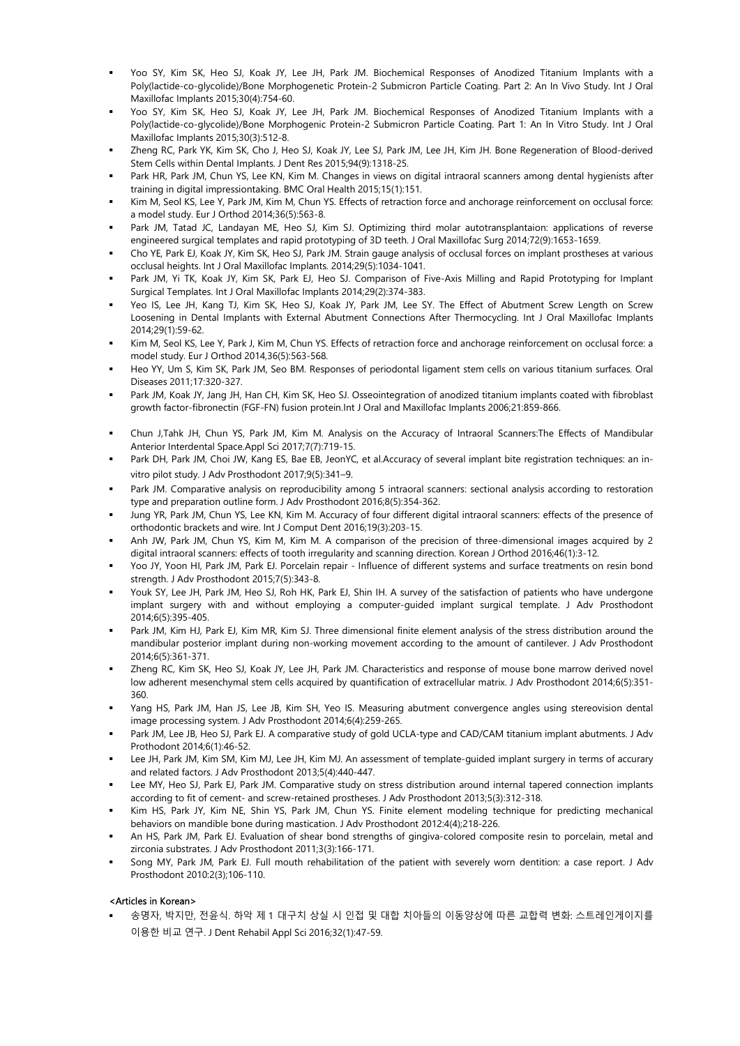- Yoo SY, Kim SK, Heo SJ, Koak JY, Lee JH, Park JM. Biochemical Responses of Anodized Titanium Implants with a Poly(lactide-co-glycolide)/Bone Morphogenetic Protein-2 Submicron Particle Coating. Part 2: An In Vivo Study. Int J Oral Maxillofac Implants 2015;30(4):754-60.
- Yoo SY, Kim SK, Heo SJ, Koak JY, Lee JH, Park JM. Biochemical Responses of Anodized Titanium Implants with a Poly(lactide-co-glycolide)/Bone Morphogenic Protein-2 Submicron Particle Coating. Part 1: An In Vitro Study. Int J Oral Maxillofac Implants 2015;30(3):512-8.
- Zheng RC, Park YK, Kim SK, Cho J, Heo SJ, Koak JY, Lee SJ, Park JM, Lee JH, Kim JH. Bone Regeneration of Blood-derived Stem Cells within Dental Implants. J Dent Res 2015;94(9):1318-25.
- Park HR, Park JM, Chun YS, Lee KN, Kim M. Changes in views on digital intraoral scanners among dental hygienists after training in digital impressiontaking. BMC Oral Health 2015;15(1):151.
- Kim M, Seol KS, Lee Y, Park JM, Kim M, Chun YS. Effects of retraction force and anchorage reinforcement on occlusal force: a model study. Eur J Orthod 2014;36(5):563-8.
- Park JM, Tatad JC, Landayan ME, Heo SJ, Kim SJ. Optimizing third molar autotransplantaion: applications of reverse engineered surgical templates and rapid prototyping of 3D teeth. J Oral Maxillofac Surg 2014;72(9):1653-1659.
- Cho YE, Park EJ, Koak JY, Kim SK, Heo SJ, Park JM. Strain gauge analysis of occlusal forces on implant prostheses at various occlusal heights. Int J Oral Maxillofac Implants. 2014;29(5):1034-1041.
- Park JM, Yi TK, Koak JY, Kim SK, Park EJ, Heo SJ. Comparison of Five-Axis Milling and Rapid Prototyping for Implant Surgical Templates. Int J Oral Maxillofac Implants 2014;29(2):374-383.
- Yeo IS, Lee JH, Kang TJ, Kim SK, Heo SJ, Koak JY, Park JM, Lee SY. The Effect of Abutment Screw Length on Screw Loosening in Dental Implants with External Abutment Connections After Thermocycling. Int J Oral Maxillofac Implants 2014;29(1):59-62.
- Kim M, Seol KS, Lee Y, Park J, Kim M, Chun YS. Effects of retraction force and anchorage reinforcement on occlusal force: a model study. Eur J Orthod 2014,36(5):563-568.
- Heo YY, Um S, Kim SK, Park JM, Seo BM. Responses of periodontal ligament stem cells on various titanium surfaces. Oral Diseases 2011;17:320-327.
- Park JM, Koak JY, Jang JH, Han CH, Kim SK, Heo SJ. Osseointegration of anodized titanium implants coated with fibroblast growth factor-fibronectin (FGF-FN) fusion protein.Int J Oral and Maxillofac Implants 2006;21:859-866.
- Chun J,Tahk JH, Chun YS, Park JM, Kim M. Analysis on the Accuracy of Intraoral Scanners:The Effects of Mandibular Anterior Interdental Space.Appl Sci 2017;7(7):719-15.
- Park DH, Park JM, Choi JW, Kang ES, Bae EB, JeonYC, et al.Accuracy of several implant bite registration techniques: an invitro pilot study. J Adv Prosthodont 2017;9(5):341–9.
- Park JM. Comparative analysis on reproducibility among 5 intraoral scanners: sectional analysis according to restoration type and preparation outline form. J Adv Prosthodont 2016;8(5):354-362.
- Jung YR, Park JM, Chun YS, Lee KN, Kim M. Accuracy of four different digital intraoral scanners: effects of the presence of orthodontic brackets and wire. Int J Comput Dent 2016;19(3):203-15.
- Anh JW, Park JM, Chun YS, Kim M, Kim M. A comparison of the precision of three-dimensional images acquired by 2 digital intraoral scanners: effects of tooth irregularity and scanning direction. Korean J Orthod 2016;46(1):3-12.
- Yoo JY, Yoon HI, Park JM, Park EJ. Porcelain repair Influence of different systems and surface treatments on resin bond strength. J Adv Prosthodont 2015;7(5):343-8.
- Youk SY, Lee JH, Park JM, Heo SJ, Roh HK, Park EJ, Shin IH. A survey of the satisfaction of patients who have undergone implant surgery with and without employing a computer-guided implant surgical template. J Adv Prosthodont 2014;6(5):395-405.
- Park JM, Kim HJ, Park EJ, Kim MR, Kim SJ. Three dimensional finite element analysis of the stress distribution around the mandibular posterior implant during non-working movement according to the amount of cantilever. J Adv Prosthodont 2014;6(5):361-371.
- Zheng RC, Kim SK, Heo SJ, Koak JY, Lee JH, Park JM. Characteristics and response of mouse bone marrow derived novel low adherent mesenchymal stem cells acquired by quantification of extracellular matrix. J Adv Prosthodont 2014;6(5):351-360.
- Yang HS, Park JM, Han JS, Lee JB, Kim SH, Yeo IS. Measuring abutment convergence angles using stereovision dental image processing system. J Adv Prosthodont 2014;6(4):259-265.
- Park JM, Lee JB, Heo SJ, Park EJ. A comparative study of gold UCLA-type and CAD/CAM titanium implant abutments. J Adv Prothodont 2014;6(1):46-52.
- Lee JH, Park JM, Kim SM, Kim MJ, Lee JH, Kim MJ. An assessment of template-guided implant surgery in terms of accurary and related factors. J Adv Prosthodont 2013;5(4):440-447.
- Lee MY, Heo SJ, Park EJ, Park JM. Comparative study on stress distribution around internal tapered connection implants according to fit of cement- and screw-retained prostheses. J Adv Prosthodont 2013;5(3):312-318.
- Kim HS, Park JY, Kim NE, Shin YS, Park JM, Chun YS. Finite element modeling technique for predicting mechanical behaviors on mandible bone during mastication. J Adv Prosthodont 2012:4(4);218-226.
- An HS, Park JM, Park EJ. Evaluation of shear bond strengths of gingiva-colored composite resin to porcelain, metal and zirconia substrates. J Adv Prosthodont 2011;3(3):166-171.
- Song MY, Park JM, Park EJ. Full mouth rehabilitation of the patient with severely worn dentition: a case report. J Adv Prosthodont 2010:2(3);106-110.

## <Articles in Korean>

 송명자, 박지만, 전윤식. 하악 제 1 대구치 상실 시 인접 및 대합 치아들의 이동양상에 따른 교합력 변화: 스트레인게이지를 이용한 비교 연구. J Dent Rehabil Appl Sci 2016;32(1):47-59.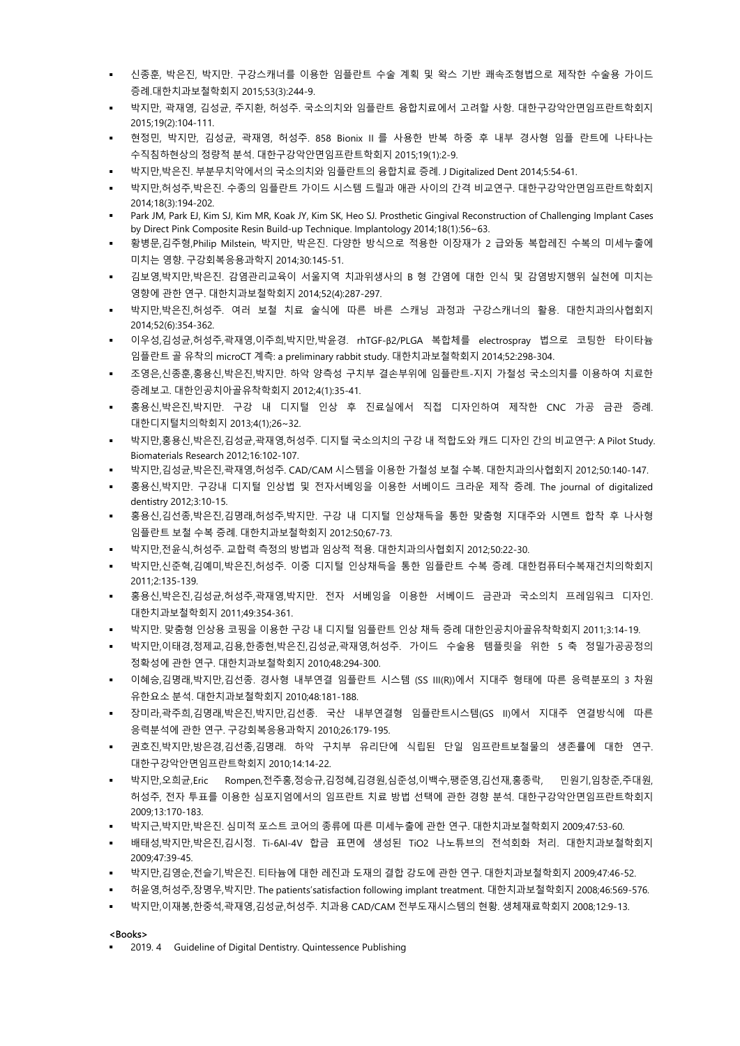- 신종훈, 박은진, 박지만. 구강스캐너를 이용한 임플란트 수술 계획 및 왁스 기반 쾌속조형법으로 제작한 수술용 가이드 증례.대한치과보철학회지 2015;53(3):244-9.
- 박지만, 곽재영, 김성균, 주지환, 허성주. 국소의치와 임플란트 융합치료에서 고려할 사항. 대한구강악안면임프란트학회지 2015;19(2):104-111.
- 현정민, 박지만, 김성균, 곽재영, 허성주. 858 Bionix II 를 사용한 반복 하중 후 내부 경사형 임플 란트에 나타나는 수직침하현상의 정량적 분석. 대한구강악안면임프란트학회지 2015;19(1):2-9.
- 박지만,박은진. 부분무치악에서의 국소의치와 임플란트의 융합치료 증례. J Digitalized Dent 2014;5:54-61.
- 박지만,허성주,박은진. 수종의 임플란트 가이드 시스템 드릴과 애관 사이의 간격 비교연구. 대한구강악안면임프란트학회지 2014;18(3):194-202.
- Park JM, Park EJ, Kim SJ, Kim MR, Koak JY, Kim SK, Heo SJ. Prosthetic Gingival Reconstruction of Challenging Implant Cases by Direct Pink Composite Resin Build-up Technique. Implantology 2014;18(1):56~63.
- 황병문,김주형,Philip Milstein, 박지만, 박은진. 다양한 방식으로 적용한 이장재가 2 급와동 복합레진 수복의 미세누출에 미치는 영향. 구강회복응용과학지 2014;30:145-51.
- 김보영,박지만,박은진. 감염관리교육이 서울지역 치과위생사의 B 형 간염에 대한 인식 및 감염방지행위 실천에 미치는 영향에 관한 연구. 대한치과보철학회지 2014;52(4):287-297.
- 박지만,박은진,허성주. 여러 보철 치료 술식에 따른 바른 스캐닝 과정과 구강스캐너의 활용. 대한치과의사협회지 2014;52(6):354-362.
- 이우성,김성균,허성주,곽재영,이주희,박지만,박윤경. rhTGF-β2/PLGA 복합체를 electrospray 법으로 코팅한 타이타늄 임플란트 골 유착의 microCT 계측: a preliminary rabbit study. 대한치과보철학회지 2014;52:298-304.
- 조영은,신종훈,홍용신,박은진,박지만. 하악 양측성 구치부 결손부위에 임플란트-지지 가철성 국소의치를 이용하여 치료한 증례보고. 대한인공치아골유착학회지 2012;4(1):35-41.
- 홍용신,박은진,박지만. 구강 내 디지털 인상 후 진료실에서 직접 디자인하여 제작한 CNC 가공 금관 증례. 대한디지털치의학회지 2013;4(1);26~32.
- 박지만,홍용신,박은진,김성균,곽재영,허성주. 디지털 국소의치의 구강 내 적합도와 캐드 디자인 간의 비교연구: A Pilot Study. Biomaterials Research 2012;16:102-107.
- 박지만,김성균,박은진,곽재영,허성주. CAD/CAM 시스템을 이용한 가철성 보철 수복. 대한치과의사협회지 2012;50:140-147.
- 홍용신,박지만. 구강내 디지털 인상법 및 전자서베잉을 이용한 서베이드 크라운 제작 증례. The journal of digitalized dentistry 2012;3:10-15.
- 홍용신,김선종,박은진,김명래,허성주,박지만. 구강 내 디지털 인상채득을 통한 맞춤형 지대주와 시멘트 합착 후 나사형 임플란트 보철 수복 증례. 대한치과보철학회지 2012:50;67-73.
- 박지만,전윤식,허성주. 교합력 측정의 방법과 임상적 적용. 대한치과의사협회지 2012;50:22-30.
- 박지만,신준혁,김예미,박은진,허성주. 이중 디지털 인상채득을 통한 임플란트 수복 증례. 대한컴퓨터수복재건치의학회지 2011;2:135-139.
- 홍용신,박은진,김성균,허성주,곽재영,박지만. 전자 서베잉을 이용한 서베이드 금관과 국소의치 프레임워크 디자인. 대한치과보철학회지 2011;49:354-361.
- 박지만. 맞춤형 인상용 코핑을 이용한 구강 내 디지털 임플란트 인상 채득 증례 대한인공치아골유착학회지 2011;3:14-19.
- 박지만,이태경,정제교,김용,한종현,박은진,김성균,곽재영,허성주. 가이드 수술용 템플릿을 위한 5 축 정밀가공공정의 정확성에 관한 연구. 대한치과보철학회지 2010;48:294-300.
- 이혜승,김명래,박지만,김선종. 경사형 내부연결 임플란트 시스템 (SS III(R))에서 지대주 형태에 따른 응력분포의 3 차원 유한요소 분석. 대한치과보철학회지 2010;48:181-188.
- 장미라,곽주희,김명래,박은진,박지만,김선종. 국산 내부연결형 임플란트시스템(GS II)에서 지대주 연결방식에 따른 응력분석에 관한 연구. 구강회복응용과학지 2010;26:179-195.
- 권호진,박지만,방은경,김선종,김명래. 하악 구치부 유리단에 식립된 단일 임프란트보철물의 생존률에 대한 연구. 대한구강악안면임프란트학회지 2010;14:14-22.
- 박지만,오희균,Eric Rompen,전주홍,정승규,김정혜,김경원,심준성,이백수,팽준영,김선재,홍종락, 민원기,임창준,주대원, 허성주, 전자 투표를 이용한 심포지엄에서의 임프란트 치료 방법 선택에 관한 경향 분석. 대한구강악안면임프란트학회지 2009;13:170-183.
- 박지근,박지만,박은진. 심미적 포스트 코어의 종류에 따른 미세누출에 관한 연구. 대한치과보철학회지 2009;47:53-60.
- 배태성,박지만,박은진,김시정. Ti-6Al-4V 합금 표면에 생성된 TiO2 나노튜브의 전석회화 처리. 대한치과보철학회지 2009;47:39-45.
- 박지만,김영순,전슬기,박은진. 티타늄에 대한 레진과 도재의 결합 강도에 관한 연구. 대한치과보철학회지 2009;47:46-52.
- 허윤영,허성주,장명우,박지만. The patients'satisfaction following implant treatment. 대한치과보철학회지 2008;46:569-576.
- 박지만,이재봉,한중석,곽재영,김성균,허성주. 치과용 CAD/CAM 전부도재시스템의 현황. 생체재료학회지 2008;12:9-13.

#### <Books>

2019. 4 Guideline of Digital Dentistry. Quintessence Publishing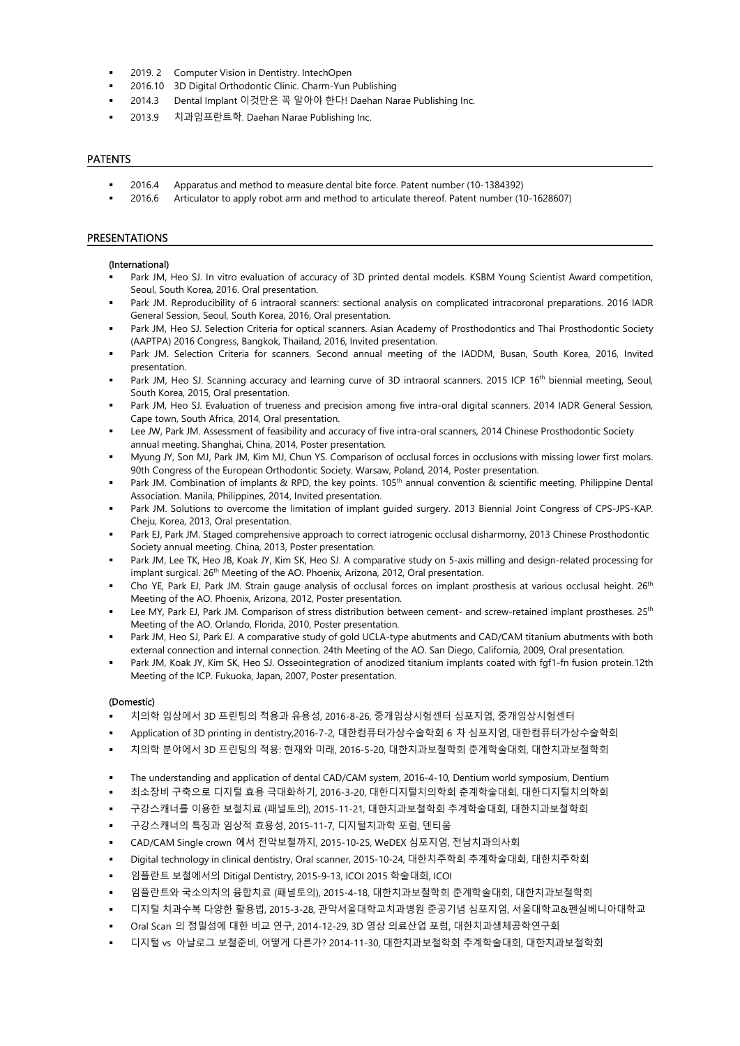- **2019. 2 Computer Vision in Dentistry. IntechOpen**
- 2016.10 3D Digital Orthodontic Clinic. Charm-Yun Publishing
- 2014.3 Dental Implant 이것만은 꼭 알아야 한다! Daehan Narae Publishing Inc.
- 2013.9 치과임프란트학. Daehan Narae Publishing Inc.

## PATENTS

- 2016.4 Apparatus and method to measure dental bite force. Patent number (10-1384392)
- 2016.6 Articulator to apply robot arm and method to articulate thereof. Patent number (10-1628607)

#### PRESENTATIONS

#### (International)

- Park JM, Heo SJ. In vitro evaluation of accuracy of 3D printed dental models. KSBM Young Scientist Award competition, Seoul, South Korea, 2016. Oral presentation.
- Park JM. Reproducibility of 6 intraoral scanners: sectional analysis on complicated intracoronal preparations. 2016 IADR General Session, Seoul, South Korea, 2016, Oral presentation.
- Park JM, Heo SJ. Selection Criteria for optical scanners. Asian Academy of Prosthodontics and Thai Prosthodontic Society (AAPTPA) 2016 Congress, Bangkok, Thailand, 2016, Invited presentation.
- Park JM. Selection Criteria for scanners. Second annual meeting of the IADDM, Busan, South Korea, 2016, Invited presentation.
- Park JM, Heo SJ. Scanning accuracy and learning curve of 3D intraoral scanners. 2015 ICP 16<sup>th</sup> biennial meeting, Seoul, South Korea, 2015, Oral presentation.
- Park JM, Heo SJ. Evaluation of trueness and precision among five intra-oral digital scanners. 2014 IADR General Session, Cape town, South Africa, 2014, Oral presentation.
- Lee JW, Park JM. Assessment of feasibility and accuracy of five intra-oral scanners, 2014 Chinese Prosthodontic Society annual meeting. Shanghai, China, 2014, Poster presentation.
- Myung JY, Son MJ, Park JM, Kim MJ, Chun YS. Comparison of occlusal forces in occlusions with missing lower first molars. 90th Congress of the European Orthodontic Society. Warsaw, Poland, 2014, Poster presentation.
- Park JM. Combination of implants & RPD, the key points. 105<sup>th</sup> annual convention & scientific meeting, Philippine Dental Association. Manila, Philippines, 2014, Invited presentation.
- Park JM. Solutions to overcome the limitation of implant guided surgery. 2013 Biennial Joint Congress of CPS-JPS-KAP. Cheju, Korea, 2013, Oral presentation.
- Park EJ, Park JM. Staged comprehensive approach to correct iatrogenic occlusal disharmorny, 2013 Chinese Prosthodontic Society annual meeting. China, 2013, Poster presentation.
- Park JM, Lee TK, Heo JB, Koak JY, Kim SK, Heo SJ. A comparative study on 5-axis milling and design-related processing for implant surgical. 26<sup>th</sup> Meeting of the AO. Phoenix, Arizona, 2012, Oral presentation.
- Cho YE, Park EJ, Park JM. Strain gauge analysis of occlusal forces on implant prosthesis at various occlusal height. 26<sup>th</sup> Meeting of the AO. Phoenix, Arizona, 2012, Poster presentation.
- Lee MY, Park EJ, Park JM. Comparison of stress distribution between cement- and screw-retained implant prostheses. 25<sup>th</sup> Meeting of the AO. Orlando, Florida, 2010, Poster presentation.
- Park JM, Heo SJ, Park EJ. A comparative study of gold UCLA-type abutments and CAD/CAM titanium abutments with both external connection and internal connection. 24th Meeting of the AO. San Diego, California, 2009, Oral presentation.
- Park JM, Koak JY, Kim SK, Heo SJ. Osseointegration of anodized titanium implants coated with fgf1-fn fusion protein.12th Meeting of the ICP. Fukuoka, Japan, 2007, Poster presentation.

#### (Domestic)

- 치의학 임상에서 3D 프린팅의 적용과 유용성, 2016-8-26, 중개임상시험센터 심포지엄, 중개임상시험센터
- Application of 3D printing in dentistry,2016-7-2, 대한컴퓨터가상수술학회 6 차 심포지엄, 대한컴퓨터가상수술학회
- 치의학 분야에서 3D 프린팅의 적용: 현재와 미래, 2016-5-20, 대한치과보철학회 춘계학술대회, 대한치과보철학회
- The understanding and application of dental CAD/CAM system, 2016-4-10, Dentium world symposium, Dentium
- 최소장비 구축으로 디지털 효용 극대화하기, 2016-3-20, 대한디지털치의학회 춘계학술대회, 대한디지털치의학회
- 구강스캐너를 이용한 보철치료 (패널토의), 2015-11-21, 대한치과보철학회 추계학술대회, 대한치과보철학회
- 구강스캐너의 특징과 임상적 효용성, 2015-11-7, 디지털치과학 포럼, 덴티움
- CAD/CAM Single crown 에서 전악보철까지, 2015-10-25, WeDEX 심포지엄, 전남치과의사회
- Digital technology in clinical dentistry, Oral scanner, 2015-10-24, 대한치주학회 추계학술대회, 대한치주학회
- 임플란트 보철에서의 Ditigal Dentistry, 2015-9-13, ICOI 2015 학술대회, ICOI
- 임플란트와 국소의치의 융합치료 (패널토의), 2015-4-18, 대한치과보철학회 춘계학술대회, 대한치과보철학회
- 디지털 치과수복 다양한 활용법, 2015-3-28, 관악서울대학교치과병원 준공기념 심포지엄, 서울대학교&펜실베니아대학교
- Oral Scan 의 정밀성에 대한 비교 연구, 2014-12-29, 3D 영상 의료산업 포럼, 대한치과생체공학연구회
- 디지털 vs 아날로그 보철준비, 어떻게 다른가? 2014-11-30, 대한치과보철학회 추계학술대회, 대한치과보철학회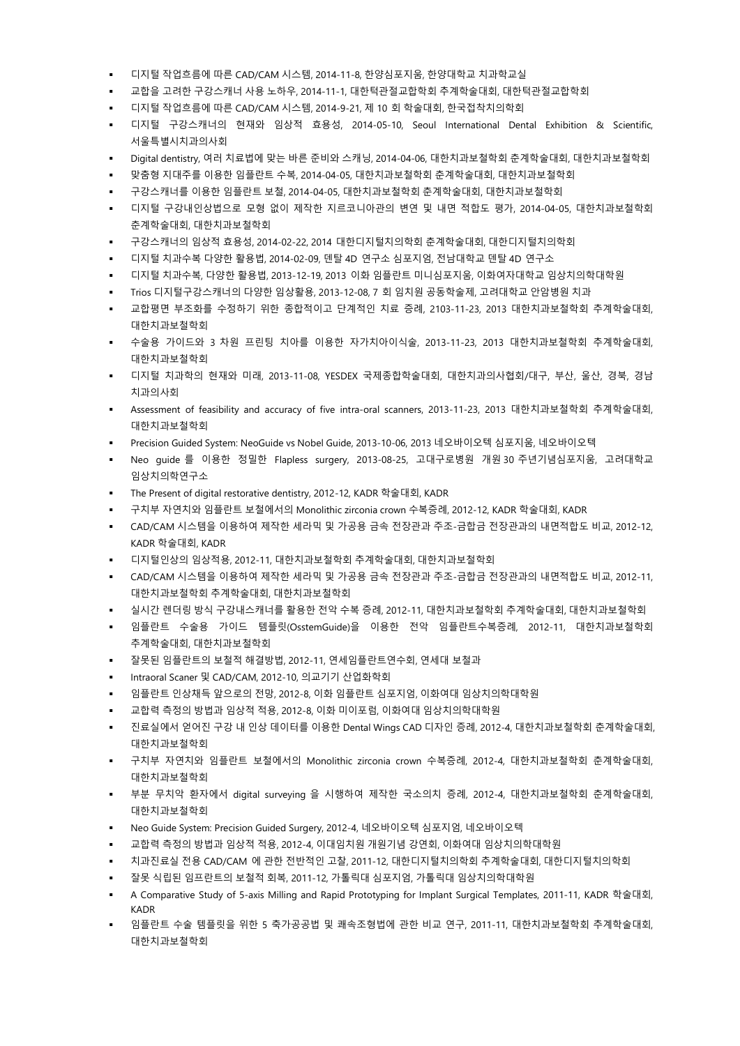- 디지털 작업흐름에 따른 CAD/CAM 시스템, 2014-11-8, 한양심포지움, 한양대학교 치과학교실
- 교합을 고려한 구강스캐너 사용 노하우, 2014-11-1, 대한턱관절교합학회 추계학술대회, 대한턱관절교합학회
- 디지털 작업흐름에 따른 CAD/CAM 시스템, 2014-9-21, 제 10 회 학술대회, 한국접착치의학회
- 디지털 구강스캐너의 현재와 임상적 효용성, 2014-05-10, Seoul International Dental Exhibition & Scientific, 서울특별시치과의사회
- Digital dentistry, 여러 치료법에 맞는 바른 준비와 스캐닝, 2014-04-06, 대한치과보철학회 춘계학술대회, 대한치과보철학회
- 맞춤형 지대주를 이용한 임플란트 수복, 2014-04-05, 대한치과보철학회 춘계학술대회, 대한치과보철학회
- 구강스캐너를 이용한 임플란트 보철, 2014-04-05, 대한치과보철학회 춘계학술대회, 대한치과보철학회
- 디지털 구강내인상법으로 모형 없이 제작한 지르코니아관의 변연 및 내면 적합도 평가, 2014-04-05, 대한치과보철학회 춘계학술대회, 대한치과보철학회
- 구강스캐너의 임상적 효용성, 2014-02-22, 2014 대한디지털치의학회 춘계학술대회, 대한디지털치의학회
- 디지털 치과수복 다양한 활용법, 2014-02-09, 덴탈 4D 연구소 심포지엄, 전남대학교 덴탈 4D 연구소
- 디지털 치과수복, 다양한 활용법, 2013-12-19, 2013 이화 임플란트 미니심포지움, 이화여자대학교 임상치의학대학원
- Trios 디지털구강스캐너의 다양한 임상활용, 2013-12-08, 7 회 임치원 공동학술제, 고려대학교 안암병원 치과
- 교합평면 부조화를 수정하기 위한 종합적이고 단계적인 치료 증례, 2103-11-23, 2013 대한치과보철학회 추계학술대회, 대한치과보철학회
- 수술용 가이드와 3 차원 프린팅 치아를 이용한 자가치아이식술, 2013-11-23, 2013 대한치과보철학회 추계학술대회, 대한치과보철학회
- 디지털 치과학의 현재와 미래, 2013-11-08, YESDEX 국제종합학술대회, 대한치과의사협회/대구, 부산, 울산, 경북, 경남 치과의사회
- Assessment of feasibility and accuracy of five intra-oral scanners, 2013-11-23, 2013 대한치과보철학회 추계학술대회, 대한치과보철학회
- Precision Guided System: NeoGuide vs Nobel Guide, 2013-10-06, 2013 네오바이오텍 심포지움, 네오바이오텍
- Neo guide 를 이용한 정밀한 Flapless surgery, 2013-08-25, 고대구로병원 개원 30 주년기념심포지움, 고려대학교 임상치의학연구소
- The Present of digital restorative dentistry, 2012-12, KADR 학술대회, KADR
- 구치부 자연치와 임플란트 보철에서의 Monolithic zirconia crown 수복증례, 2012-12, KADR 학술대회, KADR
- CAD/CAM 시스템을 이용하여 제작한 세라믹 및 가공용 금속 전장관과 주조-금합금 전장관과의 내면적합도 비교, 2012-12, KADR 학술대회, KADR
- 디지털인상의 임상적용, 2012-11, 대한치과보철학회 추계학술대회, 대한치과보철학회
- CAD/CAM 시스템을 이용하여 제작한 세라믹 및 가공용 금속 전장관과 주조-금합금 전장관과의 내면적합도 비교, 2012-11, 대한치과보철학회 추계학술대회, 대한치과보철학회
- 실시간 렌더링 방식 구강내스캐너를 활용한 전악 수복 증례, 2012-11, 대한치과보철학회 추계학술대회, 대한치과보철학회
- 임플란트 수술용 가이드 템플릿(OsstemGuide)을 이용한 전악 임플란트수복증례, 2012-11, 대한치과보철학회 추계학술대회, 대한치과보철학회
- 잘못된 임플란트의 보철적 해결방법, 2012-11, 연세임플란트연수회, 연세대 보철과
- Intraoral Scaner 및 CAD/CAM, 2012-10, 의교기기 산업화학회
- 임플란트 인상채득 앞으로의 전망, 2012-8, 이화 임플란트 심포지엄, 이화여대 임상치의학대학원
- 교합력 측정의 방법과 임상적 적용, 2012-8, 이화 미이포럼, 이화여대 임상치의학대학원
- 진료실에서 얻어진 구강 내 인상 데이터를 이용한 Dental Wings CAD 디자인 증례, 2012-4, 대한치과보철학회 춘계학술대회, 대한치과보철학회
- 구치부 자연치와 임플란트 보철에서의 Monolithic zirconia crown 수복증례, 2012-4, 대한치과보철학회 춘계학술대회, 대한치과보철학회
- 부분 무치악 환자에서 digital surveying 을 시행하여 제작한 국소의치 증례, 2012-4, 대한치과보철학회 춘계학술대회, 대한치과보철학회
- Neo Guide System: Precision Guided Surgery, 2012-4, 네오바이오텍 심포지엄, 네오바이오텍
- 교합력 측정의 방법과 임상적 적용, 2012-4, 이대임치원 개원기념 강연회, 이화여대 임상치의학대학원
- 치과진료실 전용 CAD/CAM 에 관한 전반적인 고찰, 2011-12, 대한디지털치의학회 추계학술대회, 대한디지털치의학회
- 잘못 식립된 임프란트의 보철적 회복, 2011-12, 가톨릭대 심포지엄, 가톨릭대 임상치의학대학원
- A Comparative Study of 5-axis Milling and Rapid Prototyping for Implant Surgical Templates, 2011-11, KADR 학술대회, KADR
- 임플란트 수술 템플릿을 위한 5 축가공공법 및 쾌속조형법에 관한 비교 연구, 2011-11, 대한치과보철학회 추계학술대회, 대한치과보철학회